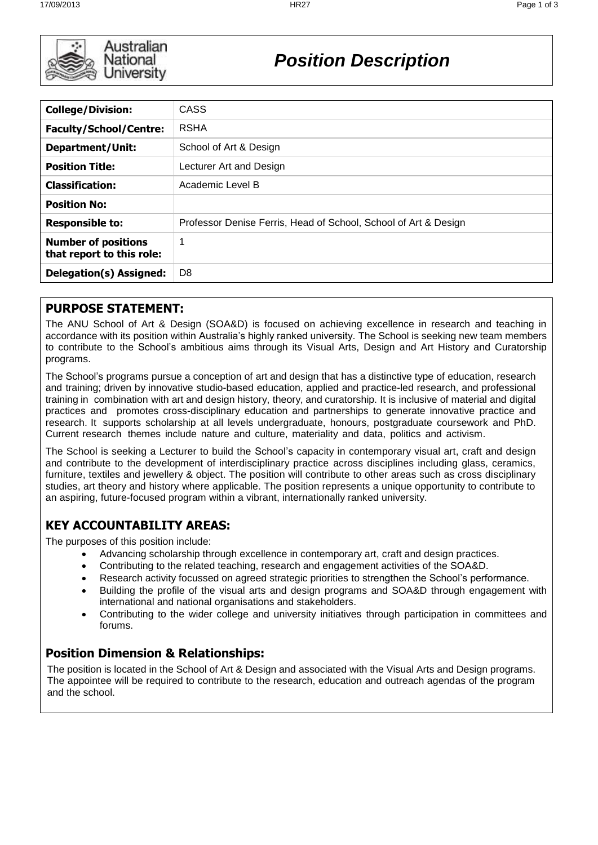

Australian National University

*Position Description*

| <b>College/Division:</b>                                | CASS                                                            |
|---------------------------------------------------------|-----------------------------------------------------------------|
| <b>Faculty/School/Centre:</b>                           | <b>RSHA</b>                                                     |
| Department/Unit:                                        | School of Art & Design                                          |
| <b>Position Title:</b>                                  | Lecturer Art and Design                                         |
| <b>Classification:</b>                                  | Academic Level B                                                |
| <b>Position No:</b>                                     |                                                                 |
| <b>Responsible to:</b>                                  | Professor Denise Ferris, Head of School, School of Art & Design |
| <b>Number of positions</b><br>that report to this role: | 1                                                               |
| Delegation(s) Assigned:                                 | D <sub>8</sub>                                                  |

### **PURPOSE STATEMENT:**

The ANU School of Art & Design (SOA&D) is focused on achieving excellence in research and teaching in accordance with its position within Australia's highly ranked university. The School is seeking new team members to contribute to the School's ambitious aims through its Visual Arts, Design and Art History and Curatorship programs.

The School's programs pursue a conception of art and design that has a distinctive type of education, research and training; driven by innovative studio-based education, applied and practice-led research, and professional training in combination with art and design history, theory, and curatorship. It is inclusive of material and digital practices and promotes cross-disciplinary education and partnerships to generate innovative practice and research. It supports scholarship at all levels undergraduate, honours, postgraduate coursework and PhD. Current research themes include nature and culture, materiality and data, politics and activism.

The School is seeking a Lecturer to build the School's capacity in contemporary visual art, craft and design and contribute to the development of interdisciplinary practice across disciplines including glass, ceramics, furniture, textiles and jewellery & object. The position will contribute to other areas such as cross disciplinary studies, art theory and history where applicable. The position represents a unique opportunity to contribute to an aspiring, future-focused program within a vibrant, internationally ranked university.

# **KEY ACCOUNTABILITY AREAS:**

The purposes of this position include:

- Advancing scholarship through excellence in contemporary art, craft and design practices.
- Contributing to the related teaching, research and engagement activities of the SOA&D.
- Research activity focussed on agreed strategic priorities to strengthen the School's performance.
- Building the profile of the visual arts and design programs and SOA&D through engagement with international and national organisations and stakeholders.
- Contributing to the wider college and university initiatives through participation in committees and forums.

### **Position Dimension & Relationships:**

The position is located in the School of Art & Design and associated with the Visual Arts and Design programs. The appointee will be required to contribute to the research, education and outreach agendas of the program and the school.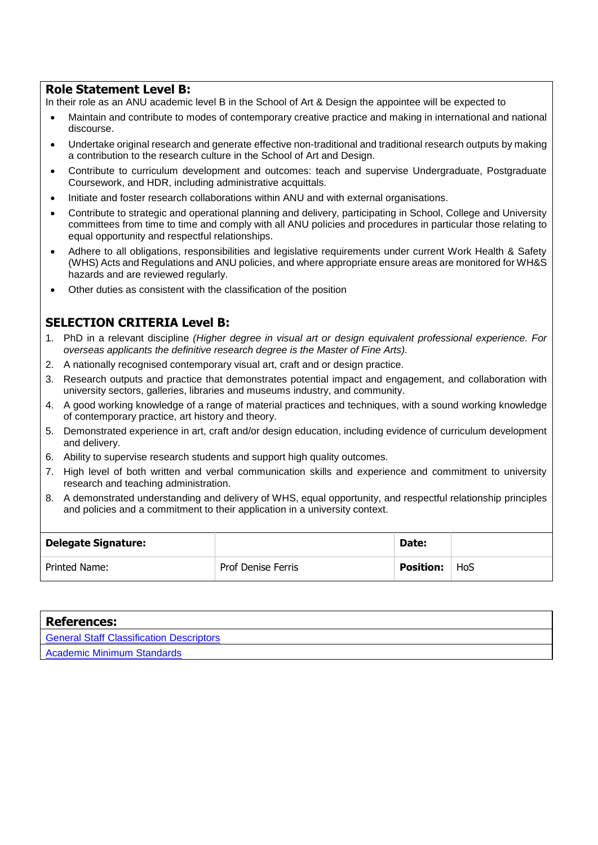#### **Role Statement Level B:**

In their role as an ANU academic level B in the School of Art & Design the appointee will be expected to

- Maintain and contribute to modes of contemporary creative practice and making in international and national discourse.
- Undertake original research and generate effective non-traditional and traditional research outputs by making a contribution to the research culture in the School of Art and Design.
- Contribute to curriculum development and outcomes: teach and supervise Undergraduate, Postgraduate Coursework, and HDR, including administrative acquittals.
- Initiate and foster research collaborations within ANU and with external organisations.
- Contribute to strategic and operational planning and delivery, participating in School, College and University committees from time to time and comply with all ANU policies and procedures in particular those relating to equal opportunity and respectful relationships.
- Adhere to all obligations, responsibilities and legislative requirements under current Work Health & Safety (WHS) Acts and Regulations and ANU policies, and where appropriate ensure areas are monitored for WH&S hazards and are reviewed regularly.
- Other duties as consistent with the classification of the position

#### **SELECTION CRITERIA Level B:**

- 1. PhD in a relevant discipline *(Higher degree in visual art or design equivalent professional experience. For overseas applicants the definitive research degree is the Master of Fine Arts).*
- 2. A nationally recognised contemporary visual art, craft and or design practice.
- 3. Research outputs and practice that demonstrates potential impact and engagement, and collaboration with university sectors, galleries, libraries and museums industry, and community.
- 4. A good working knowledge of a range of material practices and techniques, with a sound working knowledge of contemporary practice, art history and theory.
- 5. Demonstrated experience in art, craft and/or design education, including evidence of curriculum development and delivery.
- 6. Ability to supervise research students and support high quality outcomes.
- 7. High level of both written and verbal communication skills and experience and commitment to university research and teaching administration.
- 8. A demonstrated understanding and delivery of WHS, equal opportunity, and respectful relationship principles and policies and a commitment to their application in a university context.

| <b>Delegate Signature:</b> |                    | Date:            |     |
|----------------------------|--------------------|------------------|-----|
| Printed Name:              | Prof Denise Ferris | <b>Position:</b> | HoS |

| <b>References:</b>                              |
|-------------------------------------------------|
| <b>General Staff Classification Descriptors</b> |
| <b>Academic Minimum Standards</b>               |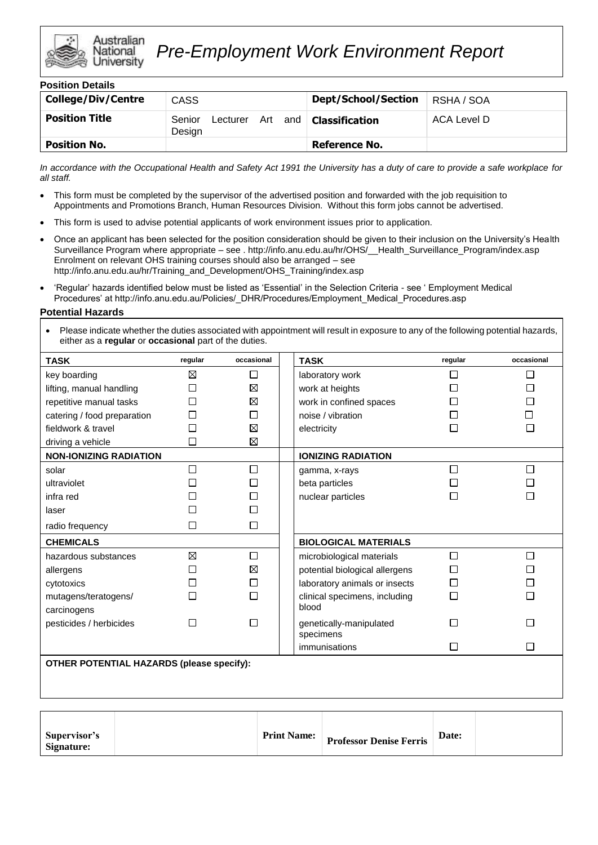

| <b>Position Details</b>   |                                         |                               |             |
|---------------------------|-----------------------------------------|-------------------------------|-------------|
| <b>College/Div/Centre</b> | CASS                                    | <b>Dept/School/Section</b>    | RSHA / SOA  |
| <b>Position Title</b>     | Senior<br>Art and<br>Lecturer<br>Design | $\blacksquare$ Classification | ACA Level D |
| <b>Position No.</b>       |                                         | <b>Reference No.</b>          |             |

*In accordance with the Occupational Health and Safety Act 1991 the University has a duty of care to provide a safe workplace for all staff.*

- This form must be completed by the supervisor of the advertised position and forwarded with the job requisition to Appointments and Promotions Branch, Human Resources Division. Without this form jobs cannot be advertised.
- This form is used to advise potential applicants of work environment issues prior to application.
- Once an applicant has been selected for the position consideration should be given to their inclusion on the University's Health Surveillance Program where appropriate – see . http://info.anu.edu.au/hr/OHS/\_\_Health\_Surveillance\_Program/index.asp Enrolment on relevant OHS training courses should also be arranged – see http://info.anu.edu.au/hr/Training\_and\_Development/OHS\_Training/index.asp
- 'Regular' hazards identified below must be listed as 'Essential' in the Selection Criteria see ' Employment Medical Procedures' at http://info.anu.edu.au/Policies/\_DHR/Procedures/Employment\_Medical\_Procedures.asp

#### **Potential Hazards**

• Please indicate whether the duties associated with appointment will result in exposure to any of the following potential hazards, either as a **regular** or **occasional** part of the duties.

| <b>TASK</b>                                      | regular | occasional | <b>TASK</b>                          | regular      | occasional     |
|--------------------------------------------------|---------|------------|--------------------------------------|--------------|----------------|
| key boarding                                     | ⊠       | □          | laboratory work                      |              | □              |
| lifting, manual handling                         | □       | ⊠          | work at heights                      |              | $\Box$         |
| repetitive manual tasks                          |         | ⊠          | work in confined spaces              |              | П              |
| catering / food preparation                      | П       | П          | noise / vibration                    |              | П              |
| fieldwork & travel                               |         | ⊠          | electricity                          |              | П              |
| driving a vehicle                                | П       | ⊠          |                                      |              |                |
| <b>NON-IONIZING RADIATION</b>                    |         |            | <b>IONIZING RADIATION</b>            |              |                |
| solar                                            | П       | □          | gamma, x-rays                        | $\mathsf{L}$ | П              |
| ultraviolet                                      |         | П          | beta particles                       |              | $\blacksquare$ |
| infra red                                        |         | П          | nuclear particles                    |              | П              |
| laser                                            |         | П          |                                      |              |                |
| radio frequency                                  | ΙI      | $\Box$     |                                      |              |                |
| <b>CHEMICALS</b>                                 |         |            | <b>BIOLOGICAL MATERIALS</b>          |              |                |
| hazardous substances                             | ⊠       | □          | microbiological materials            | П            | □              |
| allergens                                        | П       | ⊠          | potential biological allergens       |              | П              |
| cytotoxics                                       | П       | □          | laboratory animals or insects        | П            | □              |
| mutagens/teratogens/                             |         | П          | clinical specimens, including        | П            | П              |
| carcinogens                                      |         |            | blood                                |              |                |
| pesticides / herbicides                          | П       | П          | genetically-manipulated<br>specimens |              |                |
|                                                  |         |            | immunisations                        | П            | П              |
| <b>OTHER POTENTIAL HAZARDS (please specify):</b> |         |            |                                      |              |                |
|                                                  |         |            |                                      |              |                |
|                                                  |         |            |                                      |              |                |
|                                                  |         |            |                                      |              |                |
|                                                  |         |            |                                      |              |                |

| Supervisor's<br>Signature: | <b>Print Name:</b> | <b>Professor Denise Ferris</b> | Date: |  |
|----------------------------|--------------------|--------------------------------|-------|--|
|----------------------------|--------------------|--------------------------------|-------|--|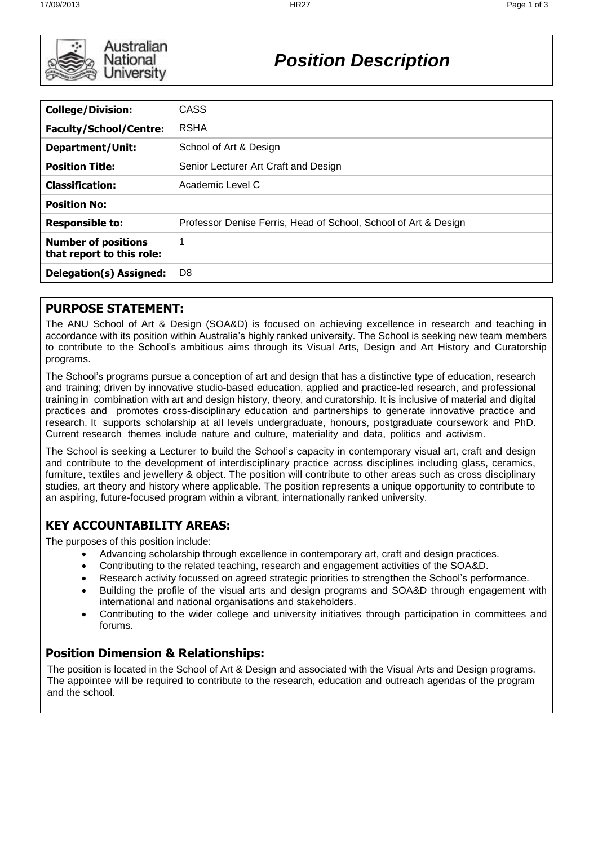

# *Position Description*

| <b>College/Division:</b>                                | <b>CASS</b>                                                     |
|---------------------------------------------------------|-----------------------------------------------------------------|
| <b>Faculty/School/Centre:</b>                           | <b>RSHA</b>                                                     |
| <b>Department/Unit:</b>                                 | School of Art & Design                                          |
| <b>Position Title:</b>                                  | Senior Lecturer Art Craft and Design                            |
| <b>Classification:</b>                                  | Academic Level C                                                |
| <b>Position No:</b>                                     |                                                                 |
| <b>Responsible to:</b>                                  | Professor Denise Ferris, Head of School, School of Art & Design |
| <b>Number of positions</b><br>that report to this role: | 1                                                               |
| Delegation(s) Assigned:                                 | D <sub>8</sub>                                                  |
|                                                         |                                                                 |

### **PURPOSE STATEMENT:**

The ANU School of Art & Design (SOA&D) is focused on achieving excellence in research and teaching in accordance with its position within Australia's highly ranked university. The School is seeking new team members to contribute to the School's ambitious aims through its Visual Arts, Design and Art History and Curatorship programs.

The School's programs pursue a conception of art and design that has a distinctive type of education, research and training; driven by innovative studio-based education, applied and practice-led research, and professional training in combination with art and design history, theory, and curatorship. It is inclusive of material and digital practices and promotes cross-disciplinary education and partnerships to generate innovative practice and research. It supports scholarship at all levels undergraduate, honours, postgraduate coursework and PhD. Current research themes include nature and culture, materiality and data, politics and activism.

The School is seeking a Lecturer to build the School's capacity in contemporary visual art, craft and design and contribute to the development of interdisciplinary practice across disciplines including glass, ceramics, furniture, textiles and jewellery & object. The position will contribute to other areas such as cross disciplinary studies, art theory and history where applicable. The position represents a unique opportunity to contribute to an aspiring, future-focused program within a vibrant, internationally ranked university.

# **KEY ACCOUNTABILITY AREAS:**

The purposes of this position include:

- Advancing scholarship through excellence in contemporary art, craft and design practices.
- Contributing to the related teaching, research and engagement activities of the SOA&D.
- Research activity focussed on agreed strategic priorities to strengthen the School's performance.
- Building the profile of the visual arts and design programs and SOA&D through engagement with international and national organisations and stakeholders.
- Contributing to the wider college and university initiatives through participation in committees and forums.

### **Position Dimension & Relationships:**

The position is located in the School of Art & Design and associated with the Visual Arts and Design programs. The appointee will be required to contribute to the research, education and outreach agendas of the program and the school.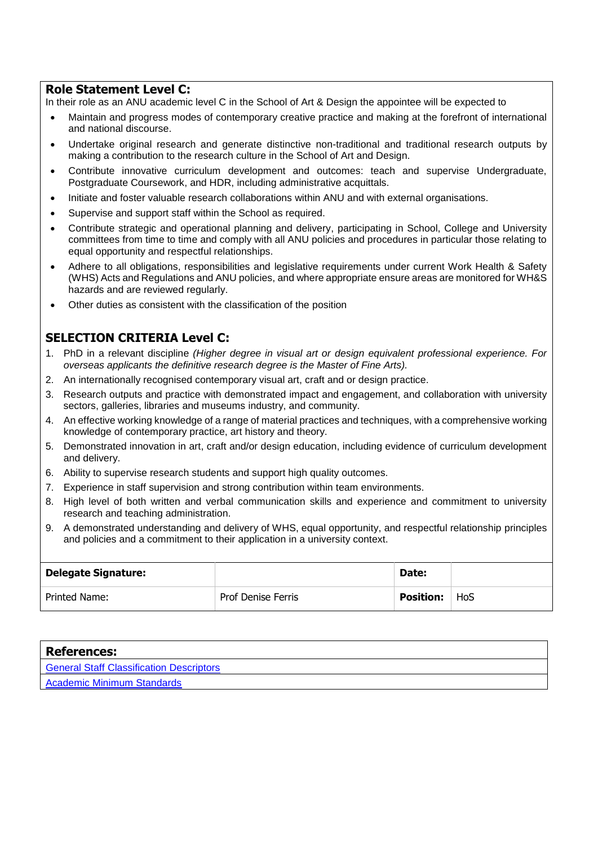#### **Role Statement Level C:**

In their role as an ANU academic level C in the School of Art & Design the appointee will be expected to

- Maintain and progress modes of contemporary creative practice and making at the forefront of international and national discourse.
- Undertake original research and generate distinctive non-traditional and traditional research outputs by making a contribution to the research culture in the School of Art and Design.
- Contribute innovative curriculum development and outcomes: teach and supervise Undergraduate, Postgraduate Coursework, and HDR, including administrative acquittals.
- Initiate and foster valuable research collaborations within ANU and with external organisations.
- Supervise and support staff within the School as required.
- Contribute strategic and operational planning and delivery, participating in School, College and University committees from time to time and comply with all ANU policies and procedures in particular those relating to equal opportunity and respectful relationships.
- Adhere to all obligations, responsibilities and legislative requirements under current Work Health & Safety (WHS) Acts and Regulations and ANU policies, and where appropriate ensure areas are monitored for WH&S hazards and are reviewed regularly.
- Other duties as consistent with the classification of the position

#### **SELECTION CRITERIA Level C:**

- 1. PhD in a relevant discipline *(Higher degree in visual art or design equivalent professional experience. For overseas applicants the definitive research degree is the Master of Fine Arts).*
- 2. An internationally recognised contemporary visual art, craft and or design practice.
- 3. Research outputs and practice with demonstrated impact and engagement, and collaboration with university sectors, galleries, libraries and museums industry, and community.
- 4. An effective working knowledge of a range of material practices and techniques, with a comprehensive working knowledge of contemporary practice, art history and theory.
- 5. Demonstrated innovation in art, craft and/or design education, including evidence of curriculum development and delivery.
- 6. Ability to supervise research students and support high quality outcomes.
- 7. Experience in staff supervision and strong contribution within team environments.
- 8. High level of both written and verbal communication skills and experience and commitment to university research and teaching administration.
- 9. A demonstrated understanding and delivery of WHS, equal opportunity, and respectful relationship principles and policies and a commitment to their application in a university context.

| <b>Delegate Signature:</b> |                           | Date:            |     |
|----------------------------|---------------------------|------------------|-----|
| Printed Name:              | <b>Prof Denise Ferris</b> | <b>Position:</b> | HoS |

| <b>References:</b>                       |
|------------------------------------------|
| General Staff Classification Descriptors |
| <b>Academic Minimum Standards</b>        |